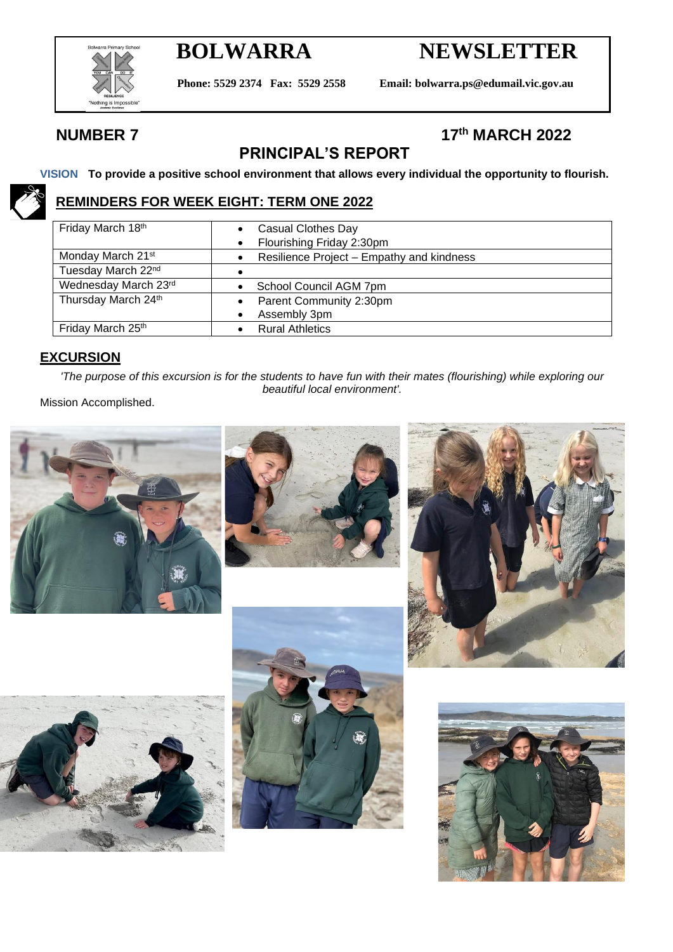

# **BOLWARRA NEWSLETTER**

**Phone: 5529 2374 Fax: 5529 2558 Email: bolwarra.ps@edumail.vic.gov.au**

### **NUMBER 7**

### **th MARCH 2022**

## **PRINCIPAL'S REPORT**

**VISION To provide a positive school environment that allows every individual the opportunity to flourish.**

### **REMINDERS FOR WEEK EIGHT: TERM ONE 2022**

| Friday March 18th             | Casual Clothes Day                        |
|-------------------------------|-------------------------------------------|
|                               | Flourishing Friday 2:30pm                 |
| Monday March 21 <sup>st</sup> | Resilience Project - Empathy and kindness |
| Tuesday March 22nd            |                                           |
| Wednesday March 23rd          | School Council AGM 7pm                    |
| Thursday March 24th           | Parent Community 2:30pm                   |
|                               | Assembly 3pm                              |
| Friday March 25th             | <b>Rural Athletics</b>                    |

#### **EXCURSION**

*'The purpose of this excursion is for the students to have fun with their mates (flourishing) while exploring our beautiful local environment'.*

Mission Accomplished.











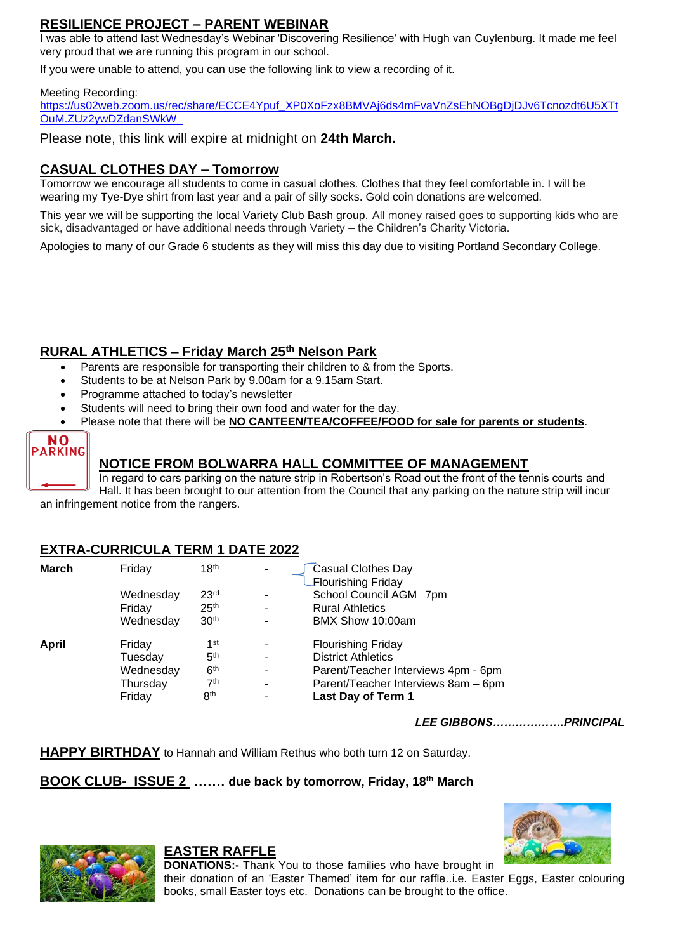#### **RESILIENCE PROJECT – PARENT WEBINAR**

I was able to attend last Wednesday's Webinar 'Discovering Resilience' with Hugh van Cuylenburg. It made me feel very proud that we are running this program in our school.

If you were unable to attend, you can use the following link to view a recording of it.

#### Meeting Recording:

[https://us02web.zoom.us/rec/share/ECCE4Ypuf\\_XP0XoFzx8BMVAj6ds4mFvaVnZsEhNOBgDjDJv6Tcnozdt6U5XTt](https://aus01.safelinks.protection.outlook.com/?url=https%3A%2F%2Fe0f544fe0965ce77f23b6380b1be1f14.tinyemails.com%2F8e94d5019f370e920f9b67e0fffa7d1f%2F00d69f0754f4b7a3ad8addb2d8719d3f.html&data=04%7C01%7Clee.gibbons%40education.vic.gov.au%7Cadf72a67630448f5632508da0223ddc0%7Cd96cb3371a8744cfb69b3cec334a4c1f%7C0%7C0%7C637824650327220475%7CUnknown%7CTWFpbGZsb3d8eyJWIjoiMC4wLjAwMDAiLCJQIjoiV2luMzIiLCJBTiI6Ik1haWwiLCJXVCI6Mn0%3D%7C3000&sdata=O5J8RlrsTMeAiimONxuDShM3FMN8nDtXZ6%2Fxw5sVqNE%3D&reserved=0) [OuM.ZUz2ywDZdanSWkW\\_](https://aus01.safelinks.protection.outlook.com/?url=https%3A%2F%2Fe0f544fe0965ce77f23b6380b1be1f14.tinyemails.com%2F8e94d5019f370e920f9b67e0fffa7d1f%2F00d69f0754f4b7a3ad8addb2d8719d3f.html&data=04%7C01%7Clee.gibbons%40education.vic.gov.au%7Cadf72a67630448f5632508da0223ddc0%7Cd96cb3371a8744cfb69b3cec334a4c1f%7C0%7C0%7C637824650327220475%7CUnknown%7CTWFpbGZsb3d8eyJWIjoiMC4wLjAwMDAiLCJQIjoiV2luMzIiLCJBTiI6Ik1haWwiLCJXVCI6Mn0%3D%7C3000&sdata=O5J8RlrsTMeAiimONxuDShM3FMN8nDtXZ6%2Fxw5sVqNE%3D&reserved=0)

Please note, this link will expire at midnight on **24th March.**

#### **CASUAL CLOTHES DAY – Tomorrow**

Tomorrow we encourage all students to come in casual clothes. Clothes that they feel comfortable in. I will be wearing my Tye-Dye shirt from last year and a pair of silly socks. Gold coin donations are welcomed.

This year we will be supporting the local Variety Club Bash group. All money raised goes to supporting kids who are sick, disadvantaged or have additional needs through Variety – the Children's Charity Victoria.

Apologies to many of our Grade 6 students as they will miss this day due to visiting Portland Secondary College.

### **RURAL ATHLETICS – Friday March 25th Nelson Park**

- Parents are responsible for transporting their children to & from the Sports.
- Students to be at Nelson Park by 9.00am for a 9.15am Start.
- Programme attached to today's newsletter
- Students will need to bring their own food and water for the day.
- Please note that there will be **NO CANTEEN/TEA/COFFEE/FOOD for sale for parents or students**.



#### **NOTICE FROM BOLWARRA HALL COMMITTEE OF MANAGEMENT**

In regard to cars parking on the nature strip in Robertson's Road out the front of the tennis courts and Hall. It has been brought to our attention from the Council that any parking on the nature strip will incur an infringement notice from the rangers.

#### **EXTRA-CURRICULA TERM 1 DATE 2022**

| <b>March</b> | Friday    | 18 <sup>th</sup> | $\overline{\phantom{a}}$ | <b>Casual Clothes Day</b><br><b>Flourishing Friday</b> |  |
|--------------|-----------|------------------|--------------------------|--------------------------------------------------------|--|
|              | Wednesday | 23 <sup>rd</sup> | $\blacksquare$           | School Council AGM 7pm                                 |  |
|              | Friday    | 25 <sup>th</sup> | $\blacksquare$           | <b>Rural Athletics</b>                                 |  |
|              | Wednesday | 30 <sup>th</sup> |                          | BMX Show 10:00am                                       |  |
| April        | Friday    | 1 <sup>st</sup>  | ٠                        | <b>Flourishing Friday</b>                              |  |
|              | Tuesdav   | 5 <sup>th</sup>  | $\blacksquare$           | <b>District Athletics</b>                              |  |
|              | Wednesday | 6 <sup>th</sup>  | ٠                        | Parent/Teacher Interviews 4pm - 6pm                    |  |
|              | Thursday  | 7 <sup>th</sup>  | $\overline{\phantom{a}}$ | Parent/Teacher Interviews 8am - 6pm                    |  |
|              | Friday    | 8 <sup>th</sup>  | $\overline{a}$           | Last Day of Term 1                                     |  |
|              |           |                  |                          |                                                        |  |

*LEE GIBBONS……………….PRINCIPAL*

**HAPPY BIRTHDAY** to Hannah and William Rethus who both turn 12 on Saturday.

#### **BOOK CLUB- ISSUE 2 ……. due back by tomorrow, Friday, 18th March**





#### **EASTER RAFFLE**

**DONATIONS:-** Thank You to those families who have brought in their donation of an 'Easter Themed' item for our raffle..i.e. Easter Eggs, Easter colouring books, small Easter toys etc. Donations can be brought to the office.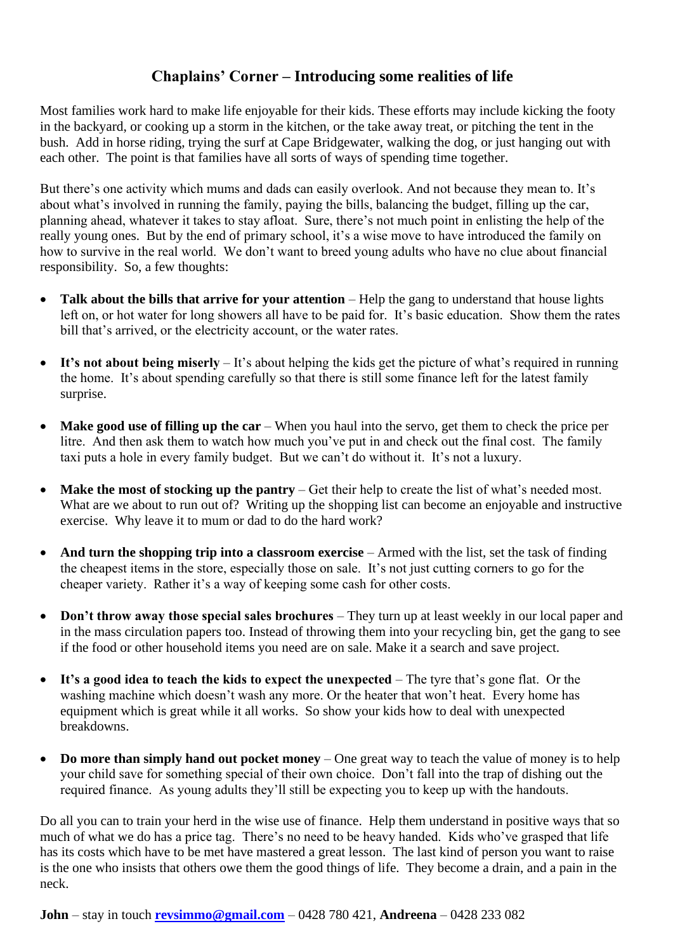### **Chaplains' Corner – Introducing some realities of life**

Most families work hard to make life enjoyable for their kids. These efforts may include kicking the footy in the backyard, or cooking up a storm in the kitchen, or the take away treat, or pitching the tent in the bush. Add in horse riding, trying the surf at Cape Bridgewater, walking the dog, or just hanging out with each other. The point is that families have all sorts of ways of spending time together.

But there's one activity which mums and dads can easily overlook. And not because they mean to. It's about what's involved in running the family, paying the bills, balancing the budget, filling up the car, planning ahead, whatever it takes to stay afloat. Sure, there's not much point in enlisting the help of the really young ones. But by the end of primary school, it's a wise move to have introduced the family on how to survive in the real world. We don't want to breed young adults who have no clue about financial responsibility. So, a few thoughts:

- **Talk about the bills that arrive for your attention** Help the gang to understand that house lights left on, or hot water for long showers all have to be paid for. It's basic education. Show them the rates bill that's arrived, or the electricity account, or the water rates.
- It's not about being miserly It's about helping the kids get the picture of what's required in running the home. It's about spending carefully so that there is still some finance left for the latest family surprise.
- **Make good use of filling up the car** When you haul into the servo, get them to check the price per litre. And then ask them to watch how much you've put in and check out the final cost. The family taxi puts a hole in every family budget. But we can't do without it. It's not a luxury.
- **Make the most of stocking up the pantry** Get their help to create the list of what's needed most. What are we about to run out of? Writing up the shopping list can become an enjoyable and instructive exercise. Why leave it to mum or dad to do the hard work?
- And turn the shopping trip into a classroom exercise Armed with the list, set the task of finding the cheapest items in the store, especially those on sale. It's not just cutting corners to go for the cheaper variety. Rather it's a way of keeping some cash for other costs.
- **Don't throw away those special sales brochures** They turn up at least weekly in our local paper and in the mass circulation papers too. Instead of throwing them into your recycling bin, get the gang to see if the food or other household items you need are on sale. Make it a search and save project.
- It's a good idea to teach the kids to expect the unexpected The tyre that's gone flat. Or the washing machine which doesn't wash any more. Or the heater that won't heat. Every home has equipment which is great while it all works. So show your kids how to deal with unexpected breakdowns.
- **Do more than simply hand out pocket money** One great way to teach the value of money is to help your child save for something special of their own choice. Don't fall into the trap of dishing out the required finance. As young adults they'll still be expecting you to keep up with the handouts.

Do all you can to train your herd in the wise use of finance. Help them understand in positive ways that so much of what we do has a price tag. There's no need to be heavy handed. Kids who've grasped that life has its costs which have to be met have mastered a great lesson. The last kind of person you want to raise is the one who insists that others owe them the good things of life. They become a drain, and a pain in the neck.